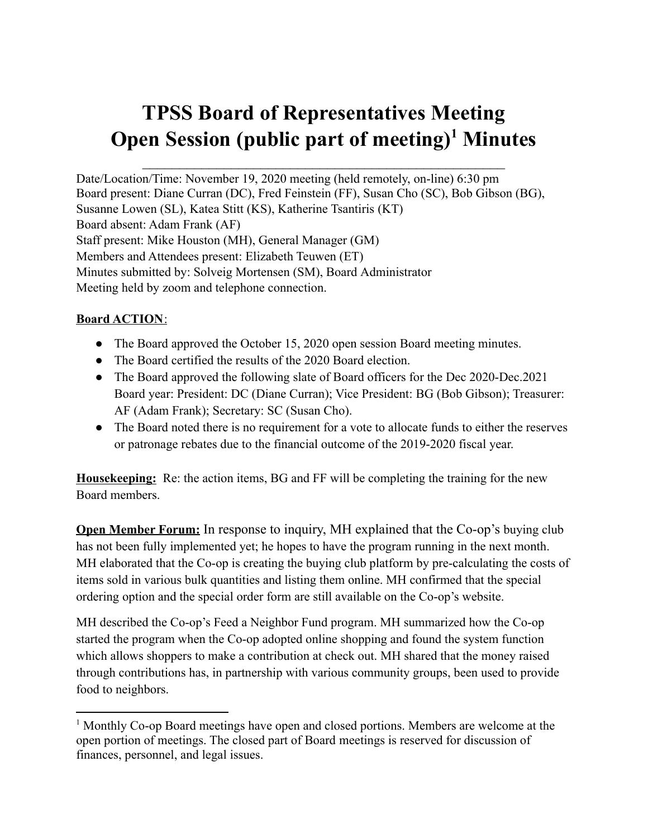# **TPSS Board of Representatives Meeting Open Session (public part of meeting) <sup>1</sup> Minutes**

Date/Location/Time: November 19, 2020 meeting (held remotely, on-line) 6:30 pm Board present: Diane Curran (DC), Fred Feinstein (FF), Susan Cho (SC), Bob Gibson (BG), Susanne Lowen (SL), Katea Stitt (KS), Katherine Tsantiris (KT) Board absent: Adam Frank (AF) Staff present: Mike Houston (MH), General Manager (GM) Members and Attendees present: Elizabeth Teuwen (ET) Minutes submitted by: Solveig Mortensen (SM), Board Administrator Meeting held by zoom and telephone connection.

## **Board ACTION**:

- The Board approved the October 15, 2020 open session Board meeting minutes.
- The Board certified the results of the 2020 Board election.
- The Board approved the following slate of Board officers for the Dec 2020-Dec.2021 Board year: President: DC (Diane Curran); Vice President: BG (Bob Gibson); Treasurer: AF (Adam Frank); Secretary: SC (Susan Cho).
- The Board noted there is no requirement for a vote to allocate funds to either the reserves or patronage rebates due to the financial outcome of the 2019-2020 fiscal year.

**Housekeeping:** Re: the action items, BG and FF will be completing the training for the new Board members.

**Open Member Forum:** In response to inquiry, MH explained that the Co-op's buying club has not been fully implemented yet; he hopes to have the program running in the next month. MH elaborated that the Co-op is creating the buying club platform by pre-calculating the costs of items sold in various bulk quantities and listing them online. MH confirmed that the special ordering option and the special order form are still available on the Co-op's website.

MH described the Co-op's Feed a Neighbor Fund program. MH summarized how the Co-op started the program when the Co-op adopted online shopping and found the system function which allows shoppers to make a contribution at check out. MH shared that the money raised through contributions has, in partnership with various community groups, been used to provide food to neighbors.

<sup>1</sup> Monthly Co-op Board meetings have open and closed portions. Members are welcome at the open portion of meetings. The closed part of Board meetings is reserved for discussion of finances, personnel, and legal issues.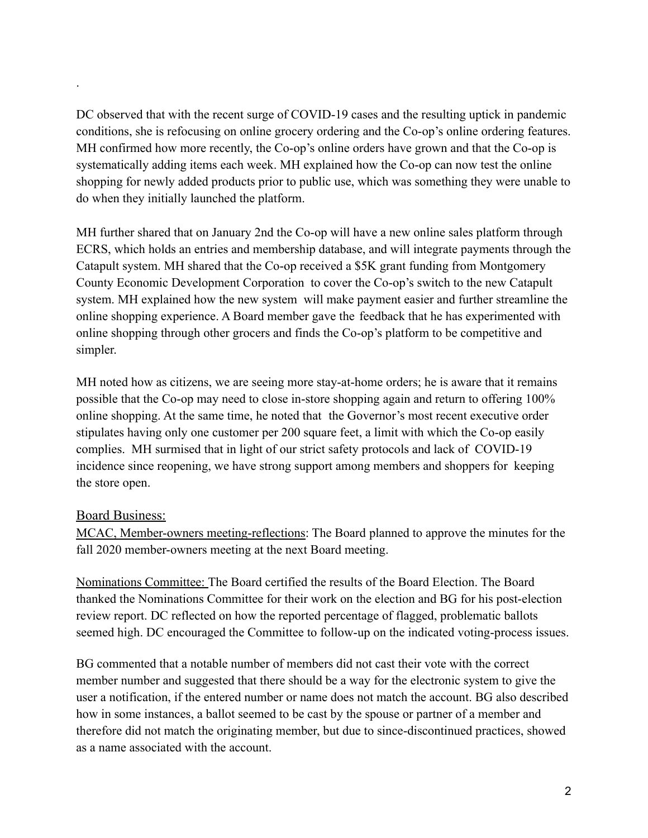DC observed that with the recent surge of COVID-19 cases and the resulting uptick in pandemic conditions, she is refocusing on online grocery ordering and the Co-op's online ordering features. MH confirmed how more recently, the Co-op's online orders have grown and that the Co-op is systematically adding items each week. MH explained how the Co-op can now test the online shopping for newly added products prior to public use, which was something they were unable to do when they initially launched the platform.

MH further shared that on January 2nd the Co-op will have a new online sales platform through ECRS, which holds an entries and membership database, and will integrate payments through the Catapult system. MH shared that the Co-op received a \$5K grant funding from Montgomery County Economic Development Corporation to cover the Co-op's switch to the new Catapult system. MH explained how the new system will make payment easier and further streamline the online shopping experience. A Board member gave the feedback that he has experimented with online shopping through other grocers and finds the Co-op's platform to be competitive and simpler.

MH noted how as citizens, we are seeing more stay-at-home orders; he is aware that it remains possible that the Co-op may need to close in-store shopping again and return to offering 100% online shopping. At the same time, he noted that the Governor's most recent executive order stipulates having only one customer per 200 square feet, a limit with which the Co-op easily complies. MH surmised that in light of our strict safety protocols and lack of COVID-19 incidence since reopening, we have strong support among members and shoppers for keeping the store open.

## Board Business:

.

MCAC, Member-owners meeting-reflections: The Board planned to approve the minutes for the fall 2020 member-owners meeting at the next Board meeting.

Nominations Committee: The Board certified the results of the Board Election. The Board thanked the Nominations Committee for their work on the election and BG for his post-election review report. DC reflected on how the reported percentage of flagged, problematic ballots seemed high. DC encouraged the Committee to follow-up on the indicated voting-process issues.

BG commented that a notable number of members did not cast their vote with the correct member number and suggested that there should be a way for the electronic system to give the user a notification, if the entered number or name does not match the account. BG also described how in some instances, a ballot seemed to be cast by the spouse or partner of a member and therefore did not match the originating member, but due to since-discontinued practices, showed as a name associated with the account.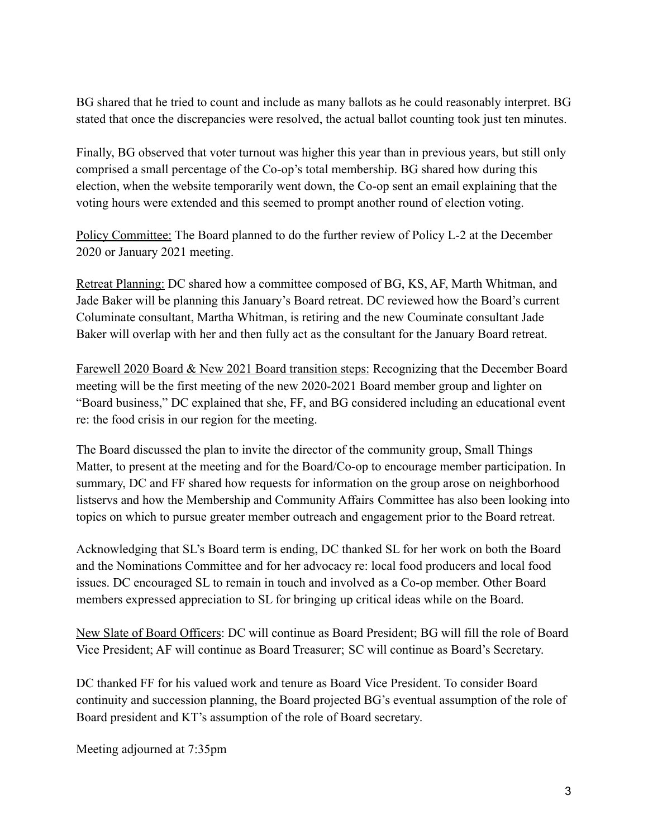BG shared that he tried to count and include as many ballots as he could reasonably interpret. BG stated that once the discrepancies were resolved, the actual ballot counting took just ten minutes.

Finally, BG observed that voter turnout was higher this year than in previous years, but still only comprised a small percentage of the Co-op's total membership. BG shared how during this election, when the website temporarily went down, the Co-op sent an email explaining that the voting hours were extended and this seemed to prompt another round of election voting.

Policy Committee: The Board planned to do the further review of Policy L-2 at the December 2020 or January 2021 meeting.

Retreat Planning: DC shared how a committee composed of BG, KS, AF, Marth Whitman, and Jade Baker will be planning this January's Board retreat. DC reviewed how the Board's current Columinate consultant, Martha Whitman, is retiring and the new Couminate consultant Jade Baker will overlap with her and then fully act as the consultant for the January Board retreat.

Farewell 2020 Board & New 2021 Board transition steps: Recognizing that the December Board meeting will be the first meeting of the new 2020-2021 Board member group and lighter on "Board business," DC explained that she, FF, and BG considered including an educational event re: the food crisis in our region for the meeting.

The Board discussed the plan to invite the director of the community group, Small Things Matter, to present at the meeting and for the Board/Co-op to encourage member participation. In summary, DC and FF shared how requests for information on the group arose on neighborhood listservs and how the Membership and Community Affairs Committee has also been looking into topics on which to pursue greater member outreach and engagement prior to the Board retreat.

Acknowledging that SL's Board term is ending, DC thanked SL for her work on both the Board and the Nominations Committee and for her advocacy re: local food producers and local food issues. DC encouraged SL to remain in touch and involved as a Co-op member. Other Board members expressed appreciation to SL for bringing up critical ideas while on the Board.

New Slate of Board Officers: DC will continue as Board President; BG will fill the role of Board Vice President; AF will continue as Board Treasurer; SC will continue as Board's Secretary.

DC thanked FF for his valued work and tenure as Board Vice President. To consider Board continuity and succession planning, the Board projected BG's eventual assumption of the role of Board president and KT's assumption of the role of Board secretary.

Meeting adjourned at 7:35pm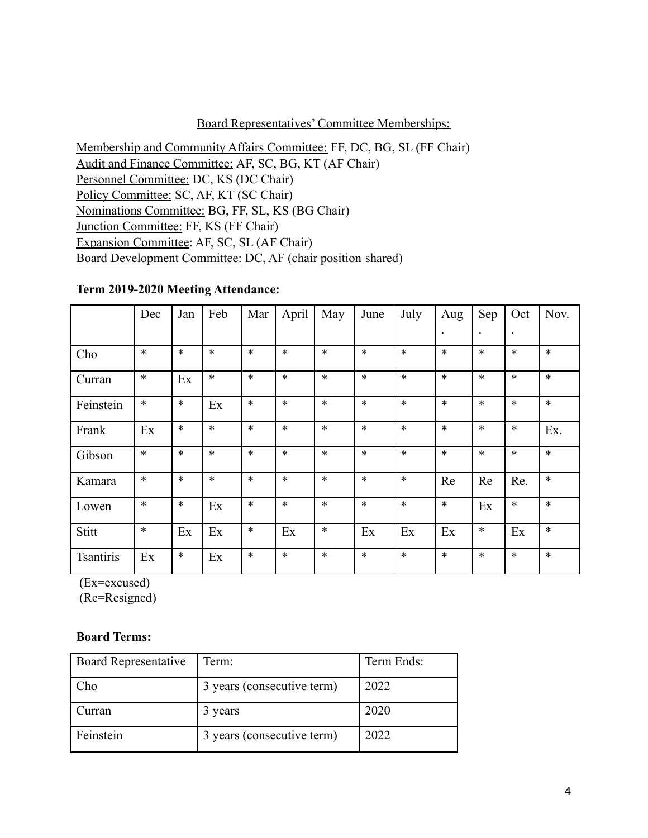### Board Representatives' Committee Memberships:

Membership and Community Affairs Committee: FF, DC, BG, SL (FF Chair) Audit and Finance Committee: AF, SC, BG, KT (AF Chair) Personnel Committee: DC, KS (DC Chair) Policy Committee: SC, AF, KT (SC Chair) Nominations Committee: BG, FF, SL, KS (BG Chair) Junction Committee: FF, KS (FF Chair) Expansion Committee: AF, SC, SL (AF Chair) Board Development Committee: DC, AF (chair position shared)

#### **Term 2019-2020 Meeting Attendance:**

|                  | Dec    | Jan    | Feb    | Mar    | April  | May    | June   | July   | Aug       | Sep                  | Oct       | Nov.   |
|------------------|--------|--------|--------|--------|--------|--------|--------|--------|-----------|----------------------|-----------|--------|
|                  |        |        |        |        |        |        |        |        | $\bullet$ | $\ddot{\phantom{0}}$ | $\bullet$ |        |
| Cho              | $\ast$ | $\ast$ | $\ast$ | $\ast$ | $\ast$ | $\ast$ | $\ast$ | $\ast$ | $\ast$    | $\ast$               | $\ast$    | $\ast$ |
| Curran           | $\ast$ | Ex     | $\ast$ | $\ast$ | $\ast$ | $\ast$ | $\ast$ | $\ast$ | $\ast$    | $\ast$               | $\ast$    | $\ast$ |
| Feinstein        | $\ast$ | $\ast$ | Ex     | $\ast$ | $\ast$ | $\ast$ | $\ast$ | $\ast$ | $\ast$    | *                    | $\ast$    | $\ast$ |
| Frank            | Ex     | $\ast$ | $\ast$ | $\ast$ | $\ast$ | $\ast$ | $\ast$ | $\ast$ | $\ast$    | $\ast$               | $\ast$    | Ex.    |
| Gibson           | $\ast$ | $\ast$ | $\ast$ | $\ast$ | $\ast$ | $\ast$ | $\ast$ | $\ast$ | $\ast$    | *                    | $\ast$    | $\ast$ |
| Kamara           | $\ast$ | $\ast$ | $\ast$ | $\ast$ | $\ast$ | $\ast$ | $\ast$ | $\ast$ | Re        | Re                   | Re.       | $\ast$ |
| Lowen            | $\ast$ | $\ast$ | Ex     | $\ast$ | $\ast$ | $\ast$ | $\ast$ | $\ast$ | $\ast$    | Ex                   | $\ast$    | $\ast$ |
| Stitt            | $\ast$ | Ex     | Ex     | $\ast$ | Ex     | $\ast$ | Ex     | Ex     | Ex        | $\ast$               | Ex        | $\ast$ |
| <b>Tsantiris</b> | Ex     | $\ast$ | Ex     | $\ast$ | $\ast$ | $\ast$ | $\ast$ | $\ast$ | $\ast$    | *                    | $\ast$    | $\ast$ |

(Ex=excused)

(Re=Resigned)

#### **Board Terms:**

| <b>Board Representative</b> | Term:                      | Term Ends: |
|-----------------------------|----------------------------|------------|
| Cho.                        | 3 years (consecutive term) | 2022       |
| Curran                      | 3 years                    | 2020       |
| Feinstein                   | 3 years (consecutive term) | 2022       |